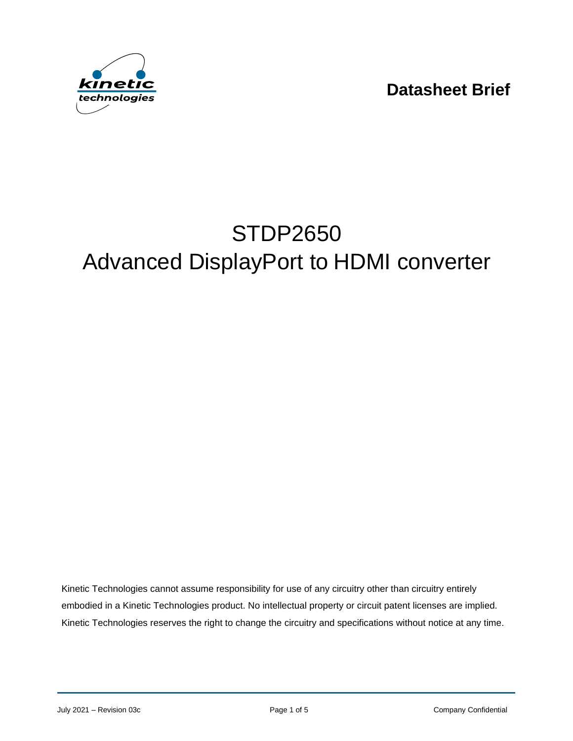**Datasheet Brief**



# STDP2650 Advanced DisplayPort to HDMI converter

Kinetic Technologies cannot assume responsibility for use of any circuitry other than circuitry entirely embodied in a Kinetic Technologies product. No intellectual property or circuit patent licenses are implied. Kinetic Technologies reserves the right to change the circuitry and specifications without notice at any time.

July 2021 – Revision 03c **Page 1 of 5** Page 1 of 5 Company Confidential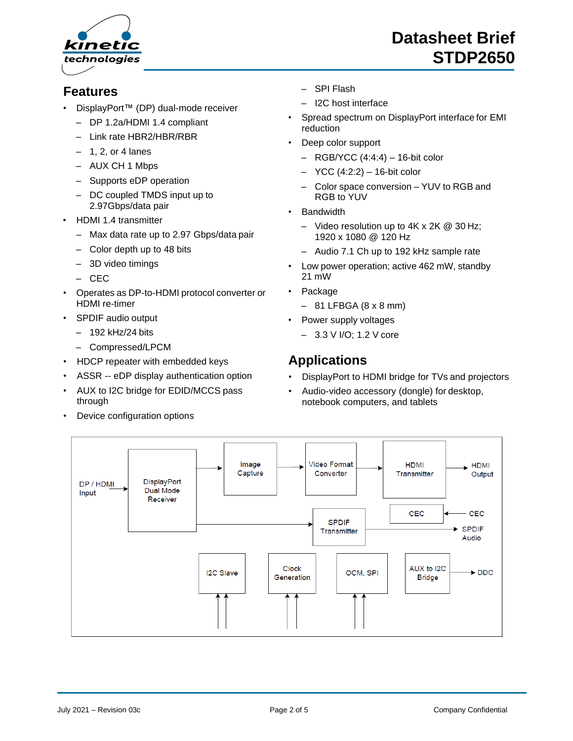

#### **Features**

- DisplayPort™ (DP) dual-mode receiver
	- DP 1.2a/HDMI 1.4 compliant
	- Link rate HBR2/HBR/RBR
	- $-1$ , 2, or 4 lanes
	- AUX CH 1 Mbps
	- Supports eDP operation
	- DC coupled TMDS input up to 2.97Gbps/data pair
- HDMI 1.4 transmitter
	- Max data rate up to 2.97 Gbps/data pair
	- Color depth up to 48 bits
	- 3D video timings
	- CEC
- Operates as DP-to-HDMI protocol converter or HDMI re-timer
- SPDIF audio output
	- 192 kHz/24 bits
	- Compressed/LPCM
- HDCP repeater with embedded keys
- ASSR -- eDP display authentication option
- AUX to I2C bridge for EDID/MCCS pass through
- Device configuration options
- SPI Flash
- I2C host interface
- Spread spectrum on DisplayPort interface for EMI reduction
- Deep color support
	- $-$  RGB/YCC (4:4:4)  $-$  16-bit color
	- YCC (4:2:2) 16-bit color
	- Color space conversion YUV to RGB and RGB to YUV
- **Bandwidth** 
	- Video resolution up to 4K x 2K @ 30 Hz; 1920 x 1080 @ 120 Hz
	- Audio 7.1 Ch up to 192 kHz sample rate
- Low power operation; active 462 mW, standby 21 mW
- Package
	- $-81$  LFBGA (8 x 8 mm)
- Power supply voltages
	- 3.3 V I/O; 1.2 V core

### **Applications**

- DisplayPort to HDMI bridge for TVs and projectors
- Audio-video accessory (dongle) for desktop, notebook computers, and tablets

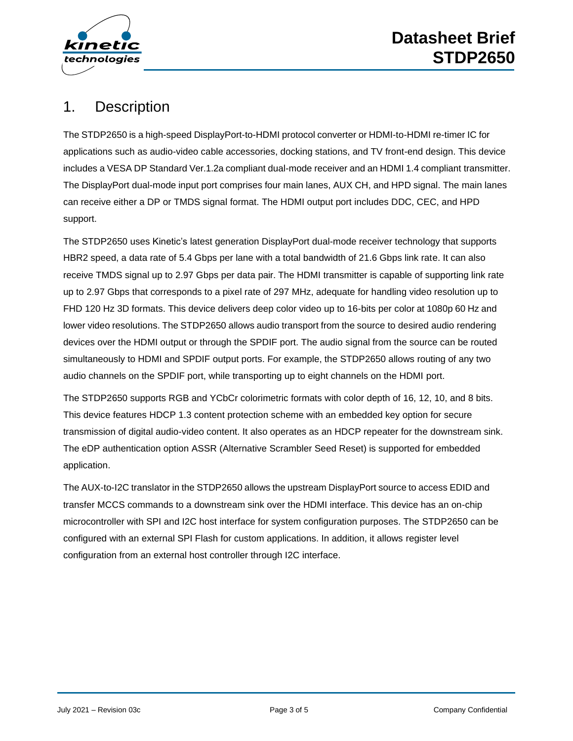

## 1. Description

The STDP2650 is a high-speed DisplayPort-to-HDMI protocol converter or HDMI-to-HDMI re-timer IC for applications such as audio-video cable accessories, docking stations, and TV front-end design. This device includes a VESA DP Standard Ver.1.2a compliant dual-mode receiver and an HDMI 1.4 compliant transmitter. The DisplayPort dual-mode input port comprises four main lanes, AUX CH, and HPD signal. The main lanes can receive either a DP or TMDS signal format. The HDMI output port includes DDC, CEC, and HPD support.

The STDP2650 uses Kinetic's latest generation DisplayPort dual-mode receiver technology that supports HBR2 speed, a data rate of 5.4 Gbps per lane with a total bandwidth of 21.6 Gbps link rate. It can also receive TMDS signal up to 2.97 Gbps per data pair. The HDMI transmitter is capable of supporting link rate up to 2.97 Gbps that corresponds to a pixel rate of 297 MHz, adequate for handling video resolution up to FHD 120 Hz 3D formats. This device delivers deep color video up to 16-bits per color at 1080p 60 Hz and lower video resolutions. The STDP2650 allows audio transport from the source to desired audio rendering devices over the HDMI output or through the SPDIF port. The audio signal from the source can be routed simultaneously to HDMI and SPDIF output ports. For example, the STDP2650 allows routing of any two audio channels on the SPDIF port, while transporting up to eight channels on the HDMI port.

The STDP2650 supports RGB and YCbCr colorimetric formats with color depth of 16, 12, 10, and 8 bits. This device features HDCP 1.3 content protection scheme with an embedded key option for secure transmission of digital audio-video content. It also operates as an HDCP repeater for the downstream sink. The eDP authentication option ASSR (Alternative Scrambler Seed Reset) is supported for embedded application.

The AUX-to-I2C translator in the STDP2650 allows the upstream DisplayPort source to access EDID and transfer MCCS commands to a downstream sink over the HDMI interface. This device has an on-chip microcontroller with SPI and I2C host interface for system configuration purposes. The STDP2650 can be configured with an external SPI Flash for custom applications. In addition, it allows register level configuration from an external host controller through I2C interface.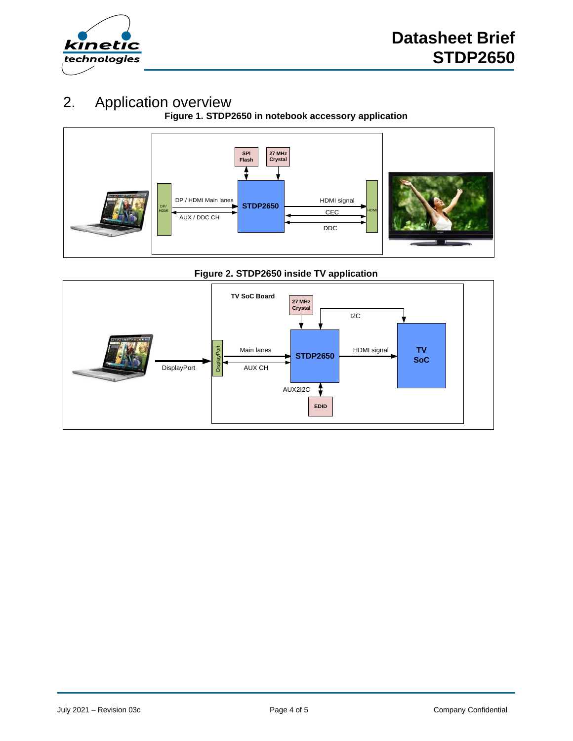

## 2. Application overview

**Figure 1. STDP2650 in notebook accessory application**



#### **Figure 2. STDP2650 inside TV application**